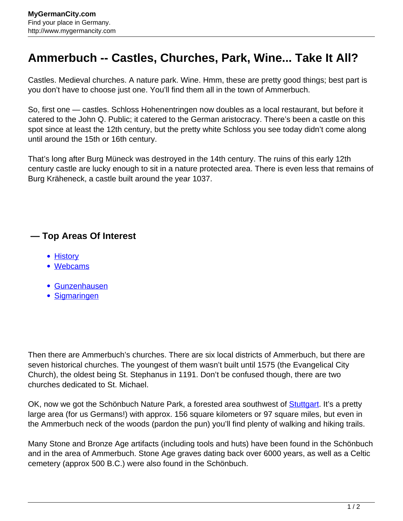## **Ammerbuch -- Castles, Churches, Park, Wine... Take It All?**

Castles. Medieval churches. A nature park. Wine. Hmm, these are pretty good things; best part is you don't have to choose just one. You'll find them all in the town of Ammerbuch.

So, first one — castles. Schloss Hohenentringen now doubles as a local restaurant, but before it catered to the John Q. Public; it catered to the German aristocracy. There's been a castle on this spot since at least the 12th century, but the pretty white Schloss you see today didn't come along until around the 15th or 16th century.

That's long after Burg Müneck was destroyed in the 14th century. The ruins of this early 12th century castle are lucky enough to sit in a nature protected area. There is even less that remains of Burg Kräheneck, a castle built around the year 1037.

## **— Top Areas Of Interest**

- [History](http://www.mygermancity.com/leipzig-history)
- [Webcams](http://www.mygermancity.com/neustadt-holstein-webcams)
- [Gunzenhausen](http://www.mygermancity.com/gunzenhausen)
- [Sigmaringen](http://www.mygermancity.com/sigmaringen)

Then there are Ammerbuch's churches. There are six local districts of Ammerbuch, but there are seven historical churches. The youngest of them wasn't built until 1575 (the Evangelical City Church), the oldest being St. Stephanus in 1191. Don't be confused though, there are two churches dedicated to St. Michael.

OK, now we got the Schönbuch Nature Park, a forested area southwest of **Stuttgart**. It's a pretty large area (for us Germans!) with approx. 156 square kilometers or 97 square miles, but even in the Ammerbuch neck of the woods (pardon the pun) you'll find plenty of walking and hiking trails.

Many Stone and Bronze Age artifacts (including tools and huts) have been found in the Schönbuch and in the area of Ammerbuch. Stone Age graves dating back over 6000 years, as well as a Celtic cemetery (approx 500 B.C.) were also found in the Schönbuch.